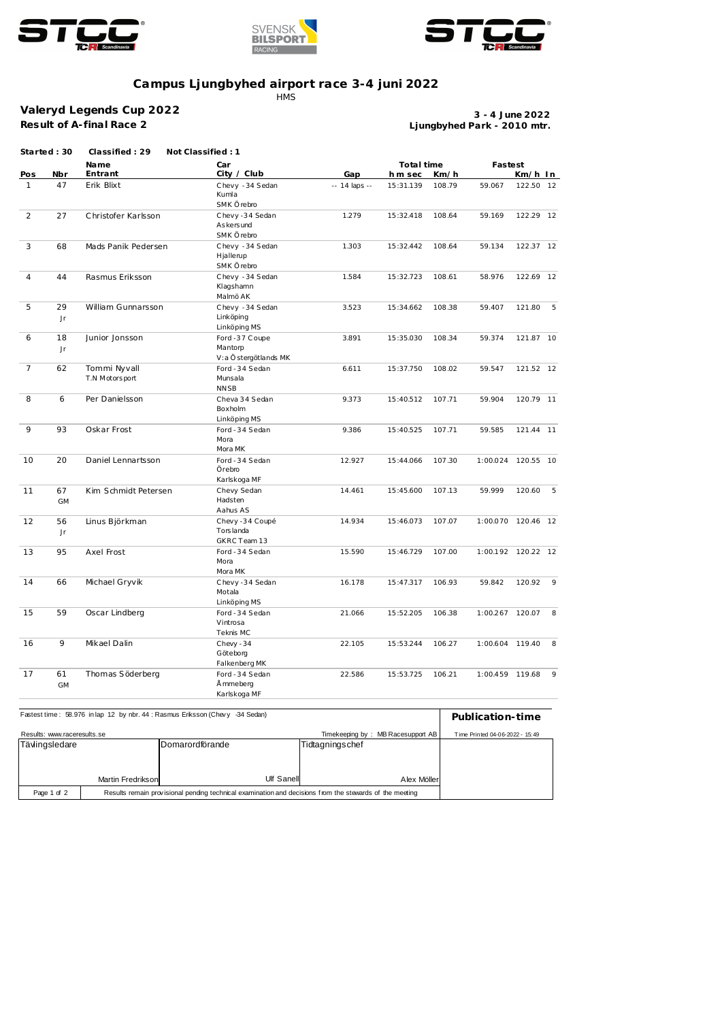





## **Campus Ljungbyhed airport race 3-4 juni 2022**

**HMS** 

**Valeryd Legends Cup 2022 Result of A-final Race 2**

**Ljungbyhed Park - 2010 mtr. 3 - 4 June 2022**

| Started: 30     | Classified: 29                 |                                                   |                                                  |           |         |                    |           |                                                                                                                         |
|-----------------|--------------------------------|---------------------------------------------------|--------------------------------------------------|-----------|---------|--------------------|-----------|-------------------------------------------------------------------------------------------------------------------------|
|                 | Name                           | Car                                               |                                                  |           |         |                    |           |                                                                                                                         |
| 47              | Erik Blixt                     | Chevy - 34 Sedan<br>Kumla<br>SMK Örebro           | -- 14 laps --                                    | 15:31.139 | 108.79  | 59.067             | 122.50 12 |                                                                                                                         |
| 27              | Christofer Karlsson            | Chevy-34 Sedan<br>As kers und<br>SMK Örebro       | 1.279                                            | 15:32.418 | 108.64  | 59.169             | 122.29 12 |                                                                                                                         |
| 68              | Mads Panik Pedersen            | Chevy - 34 Sedan<br>Hjallerup<br>SMK Örebro       | 1.303                                            | 15:32.442 | 108.64  | 59.134             | 122.37 12 |                                                                                                                         |
| 44              | Rasmus Eriksson                | Chevy - 34 Sedan<br>Klagshamn<br>Malmö AK         | 1.584                                            | 15:32.723 | 108.61  | 58.976             | 122.69 12 |                                                                                                                         |
| 29<br>Jr        | William Gunnarsson             | Chevy - 34 Sedan<br>Linköping<br>Linköping MS     | 3.523                                            | 15:34.662 | 108.38  | 59.407             | 121.80    | 5                                                                                                                       |
| 18<br>Jr        | Junior Jonsson                 | Ford -37 Coupe<br>Mantorp<br>V:a Östergötlands MK | 3.891                                            | 15:35.030 | 108.34  | 59.374             | 121.87 10 |                                                                                                                         |
| 62              | Tommi Nyvall<br>T.N Motorsport | Ford - 34 Sedan<br>Munsala<br><b>NNSB</b>         | 6.611                                            | 15:37.750 | 108.02  | 59.547             | 121.52 12 |                                                                                                                         |
| 6               | Per Danielsson                 | Cheva 34 Sedan<br>Boxholm<br>Linköping MS         | 9.373                                            | 15:40.512 | 107.71  | 59.904             | 120.79 11 |                                                                                                                         |
| 93              | Oskar Frost                    | Ford - 34 Sedan<br>Mora<br>Mora MK                | 9.386                                            | 15:40.525 | 107.71  | 59.585             | 121.44 11 |                                                                                                                         |
| 20              | Daniel Lennartsson             | Ford - 34 Sedan<br>Örebro<br>Karlskoga MF         | 12.927                                           | 15:44.066 | 107.30  | 1:00.024           | 120.55 10 |                                                                                                                         |
| 67<br><b>GM</b> | Kim Schmidt Petersen           | Chevy Sedan<br>Hadsten<br>Aahus AS                | 14.461                                           | 15:45.600 | 107.13  | 59.999             | 120.60    | 5                                                                                                                       |
| 56<br>Jr        | Linus Björkman                 | Chevy -34 Coupé<br>Torslanda<br>GKRC Team 13      | 14.934                                           | 15:46.073 | 107.07  |                    |           |                                                                                                                         |
| 95              | Axel Frost                     | Ford - 34 Sedan<br>Mora<br>Mora MK                | 15.590                                           | 15:46.729 | 107.00  |                    |           |                                                                                                                         |
| 66              | Michael Gryvik                 | Chevy-34 Sedan<br>Motala                          | 16.178                                           | 15:47.317 | 106.93  | 59.842             | 120.92    | - 9                                                                                                                     |
| 59              | Oscar Lindberg                 | Ford - 34 Sedan<br>Vintrosa<br>Teknis MC          | 21.066                                           | 15:52.205 | 106.38  |                    |           | 8                                                                                                                       |
| 9               | Mikael Dalin                   | Chevy - 34<br>Göteborg<br>Falkenberg MK           | 22.105                                           | 15:53.244 | 106.27  |                    |           | 8                                                                                                                       |
| 61<br>GM        | Thomas Söderberg               | Ford - 34 Sedan<br>Å mmeberg<br>Karlskoga MF      | 22.586                                           | 15:53.725 | 106.21  |                    |           | 9                                                                                                                       |
|                 | Nbr                            | Entrant                                           | Not Classified: 1<br>City / Club<br>Linköping MS | Gap       | h m sec | Total time<br>Km/h |           | Fastest<br>Km/h In<br>1:00.070 120.46 12<br>1:00.192 120.22 12<br>1:00.267 120.07<br>1:00.604 119.40<br>1:00.459 119.68 |

| Fastest time: 58.976 in lap 12 by nbr. 44 : Rasmus Erksson (Chevy 34 Sedan) | Publication-time                                                                                        |                 |                 |  |
|-----------------------------------------------------------------------------|---------------------------------------------------------------------------------------------------------|-----------------|-----------------|--|
| Results: www.raceresults.se                                                 | Timekeeping by: MB Racesupport AB<br>Time Printed 04-06-2022 - 15:49                                    |                 |                 |  |
| Tävlingsledare                                                              |                                                                                                         | Domarordförande | Tidtagningschef |  |
|                                                                             |                                                                                                         |                 |                 |  |
|                                                                             |                                                                                                         |                 |                 |  |
|                                                                             | Martin Fredrikson                                                                                       | Ulf Sanell      | Alex Möller     |  |
| Page 1 of 2                                                                 | Results remain provisional pending technical examination and decisions from the stewards of the meeting |                 |                 |  |